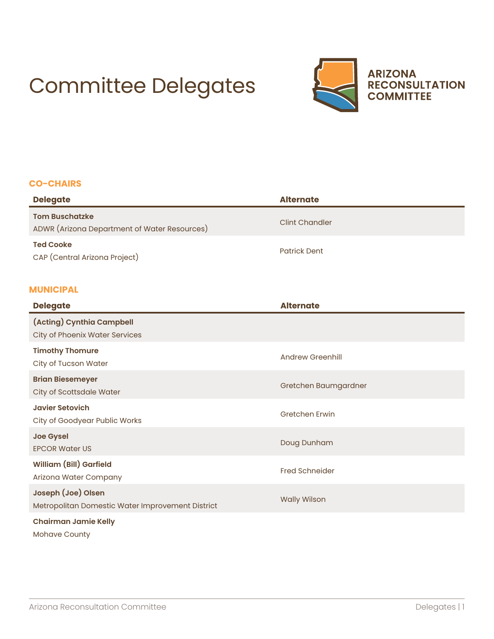# Committee Delegates



#### **CO-CHAIRS**

| <b>Delegate</b>                                                       | <b>Alternate</b>      |
|-----------------------------------------------------------------------|-----------------------|
| <b>Tom Buschatzke</b><br>ADWR (Arizona Department of Water Resources) | <b>Clint Chandler</b> |
| <b>Ted Cooke</b><br>CAP (Central Arizona Project)                     | <b>Patrick Dent</b>   |

## **MUNICIPAL**

| <b>Delegate</b>                                                        | <b>Alternate</b>        |
|------------------------------------------------------------------------|-------------------------|
| (Acting) Cynthia Campbell<br><b>City of Phoenix Water Services</b>     |                         |
| <b>Timothy Thomure</b><br>City of Tucson Water                         | <b>Andrew Greenhill</b> |
| <b>Brian Biesemeyer</b><br>City of Scottsdale Water                    | Gretchen Baumgardner    |
| <b>Javier Setovich</b><br>City of Goodyear Public Works                | <b>Gretchen Erwin</b>   |
| <b>Joe Gysel</b><br><b>EPCOR Water US</b>                              | Doug Dunham             |
| <b>William (Bill) Garfield</b><br>Arizona Water Company                | <b>Fred Schneider</b>   |
| Joseph (Joe) Olsen<br>Metropolitan Domestic Water Improvement District | <b>Wally Wilson</b>     |
| <b>Chairman Jamie Kelly</b><br><b>Mohave County</b>                    |                         |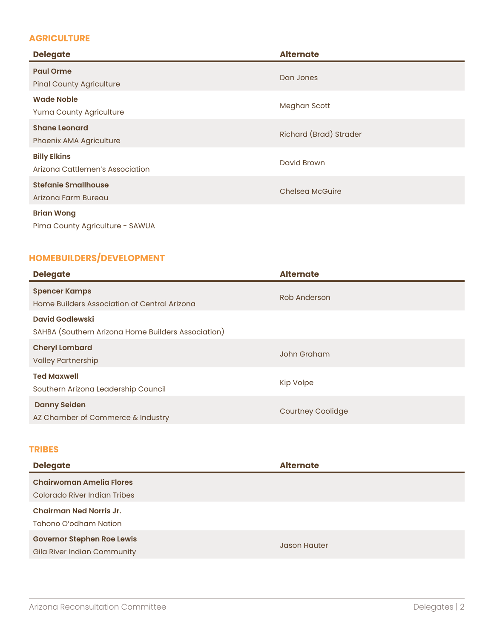# **AGRICULTURE**

| <b>Delegate</b>                                        | <b>Alternate</b>       |
|--------------------------------------------------------|------------------------|
| <b>Paul Orme</b><br><b>Pinal County Agriculture</b>    | Dan Jones              |
| <b>Wade Noble</b><br>Yuma County Agriculture           | Meghan Scott           |
| <b>Shane Leonard</b><br>Phoenix AMA Agriculture        | Richard (Brad) Strader |
| <b>Billy Elkins</b><br>Arizona Cattlemen's Association | David Brown            |
| <b>Stefanie Smallhouse</b><br>Arizona Farm Bureau      | Chelsea McGuire        |
| <b>Brian Wong</b><br>Pima County Agriculture - SAWUA   |                        |

# **HOMEBUILDERS/DEVELOPMENT**

| <b>Delegate</b>                                                              | <b>Alternate</b>         |
|------------------------------------------------------------------------------|--------------------------|
| <b>Spencer Kamps</b><br>Home Builders Association of Central Arizona         | Rob Anderson             |
| <b>David Godlewski</b><br>SAHBA (Southern Arizona Home Builders Association) |                          |
| <b>Cheryl Lombard</b><br><b>Valley Partnership</b>                           | John Graham              |
| <b>Ted Maxwell</b><br>Southern Arizona Leadership Council                    | <b>Kip Volpe</b>         |
| <b>Danny Seiden</b><br>AZ Chamber of Commerce & Industry                     | <b>Courtney Coolidge</b> |

#### **TRIBES**

| <b>Delegate</b>                   | <b>Alternate</b>    |
|-----------------------------------|---------------------|
| <b>Chairwoman Amelia Flores</b>   |                     |
| Colorado River Indian Tribes      |                     |
| <b>Chairman Ned Norris Jr.</b>    |                     |
| Tohono O'odham Nation             |                     |
| <b>Governor Stephen Roe Lewis</b> | <b>Jason Hauter</b> |
| Gila River Indian Community       |                     |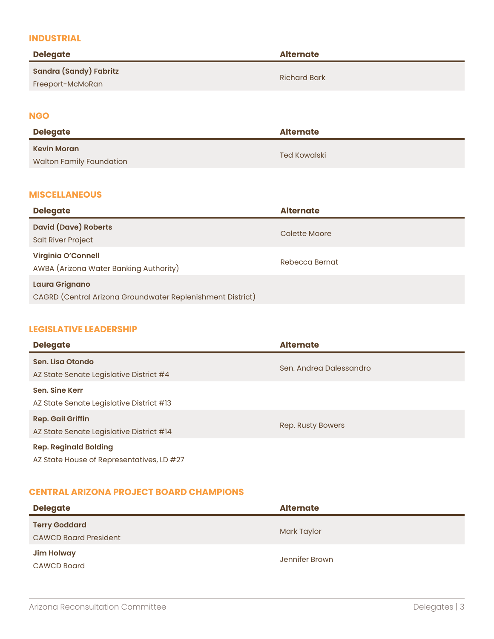#### **INDUSTRIAL**

| <b>Delegate</b>                            | <b>Alternate</b>    |
|--------------------------------------------|---------------------|
| Sandra (Sandy) Fabritz<br>Freeport-McMoRan | <b>Richard Bark</b> |
|                                            |                     |

#### **NGO**

| <b>Delegate</b>                                       | <b>Alternate</b> |
|-------------------------------------------------------|------------------|
| <b>Kevin Moran</b><br><b>Walton Family Foundation</b> | Ted Kowalski     |

#### **MISCELLANEOUS**

| <b>Delegate</b>                                                              | <b>Alternate</b> |
|------------------------------------------------------------------------------|------------------|
| <b>David (Dave) Roberts</b><br><b>Salt River Project</b>                     | Colette Moore    |
| <b>Virginia O'Connell</b><br>AWBA (Arizona Water Banking Authority)          | Rebecca Bernat   |
| Laura Grignano<br>CAGRD (Central Arizona Groundwater Replenishment District) |                  |

#### **LEGISLATIVE LEADERSHIP**

| <b>Delegate</b>                                                           | <b>Alternate</b>        |
|---------------------------------------------------------------------------|-------------------------|
| Sen. Lisa Otondo<br>AZ State Senate Legislative District #4               | Sen. Andrea Dalessandro |
| Sen. Sine Kerr<br>AZ State Senate Legislative District #13                |                         |
| <b>Rep. Gail Griffin</b><br>AZ State Senate Legislative District #14      | Rep. Rusty Bowers       |
| <b>Rep. Reginald Bolding</b><br>AZ State House of Representatives, LD #27 |                         |

## **CENTRAL ARIZONA PROJECT BOARD CHAMPIONS**

| <b>Delegate</b>                                      | <b>Alternate</b> |
|------------------------------------------------------|------------------|
| <b>Terry Goddard</b><br><b>CAWCD Board President</b> | Mark Taylor      |
| <b>Jim Holway</b><br><b>CAWCD Board</b>              | Jennifer Brown   |